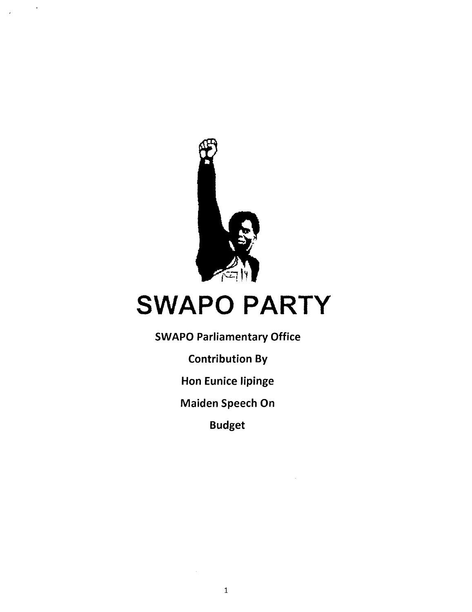

# SWAPO PARTY

SWAPO Parliamentary Office

Contribution By

Hon Eunice lipinge

Maiden Speech On

Budget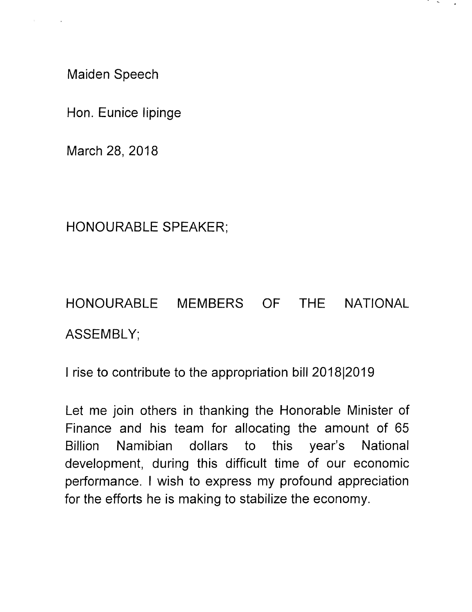Maiden Speech

Hon. Eunice lipinge

March 28, 2018

HONOURABLE SPEAKER;

HONOURABLE MEMBERS OF THE NATIONAL ASSEMBLY;

I rise to contribute to the appropriation bill 2018|2019

Let me join others in thanking the Honorable Minister of Finance and his team for allocating the amount of 65 Billion Namibian dollars to this year's National development, during this difficult time of our economic performance. I wish to express my profound appreciation for the efforts he is making to stabilize the economy.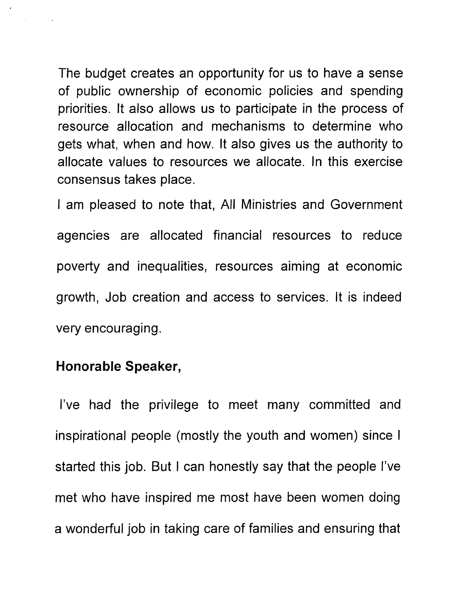The budget creates an opportunity for us to have a sense of public ownership of economic policies and spending priorities. It also allows us to participate in the process of resource allocation and mechanisms to determine who gets what, when and how. It also gives us the authority to allocate values to resources we allocate. In this exercise consensus takes place.

I am pleased to note that, All Ministries and Government agencies are allocated financial resources to reduce poverty and inequalities, resources aiming at economic growth, Job creation and access to services. It is indeed very encouraging.

### Honorable Speaker,

I've had the privilege to meet many committed and inspirational people (mostly the youth and women) since I started this job. But I can honestly say that the people I've met who have inspired me most have been women doing a wonderful job in taking care of families and ensuring that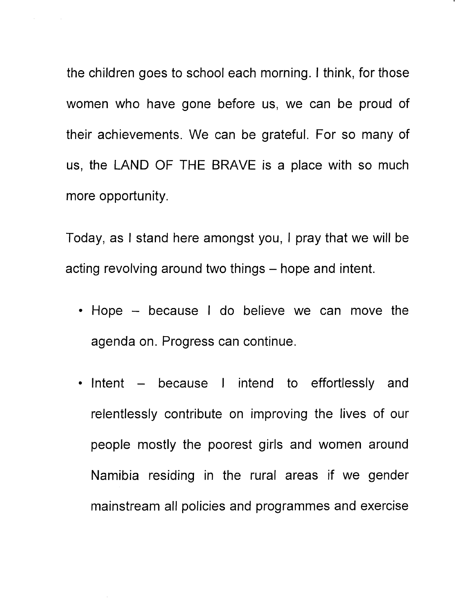the children goes to school each morning. I think, for those women who have gone before us, we can be proud of their achievements. We can be grateful. For so many of us, the LAND OF THE BRAVE is a place with so much more opportunity.

Today, as I stand here amongst you, I pray that we will be acting revolving around two things – hope and intent.

- Hope because I do believe we can move the agenda on. Progress can continue.
- Intent because I intend to effortlessly and relentlessly contribute on improving the lives of our people mostly the poorest girls and women around Namibia residing in the rural areas if we gender mainstream all policies and programmes and exercise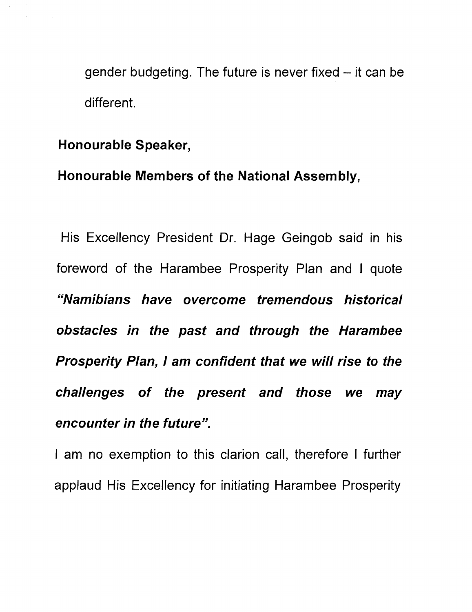gender budgeting. The future is never fixed  $-$  it can be different.

#### Honourable Speaker,

#### Honourable Members of the National Assembly,

His Excellency President Dr. Hage Geingob said in his foreword of the Harambee Prosperity Plan and I quote *"Namibians have overcome tremendous historical obstacles in the past and through the Harambee Prosperity Plan, I* am *confident that we will rise* to *the challenges* of *the present and those we may encounter in the future".*

I am no exemption to this clarion call, therefore I further applaud His Excellency for initiating Harambee Prosperity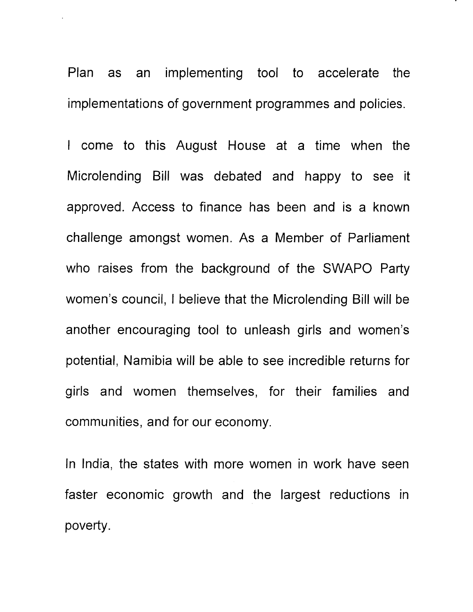Plan as an implementing tool to accelerate the implementations of government programmes and policies.

I come to this August House at a time when the Microlending Bill was debated and happy to see it approved. Access to finance has been and is a known challenge amongst women. As a Member of Parliament who raises from the background of the SWAPO Party women's council, I believe that the Microlending Bill will be another encouraging tool to unleash girls and women's potential, Namibia will be able to see incredible returns for girls and women themselves, for their families and communities, and for our economy.

In India, the states with more women in work have seen faster economic growth and the largest reductions in poverty.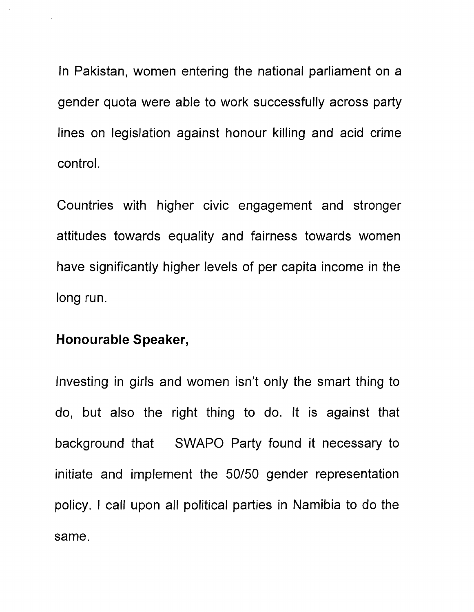In Pakistan, women entering the national parliament on a gender quota were able to work successfully across party lines on legislation against honour killing and acid crime control.

Countries with higher civic engagement and stronger attitudes towards equality and fairness towards women have significantly higher levels of per capita income in the long run.

#### **Honourable** Speaker,

Investing in girls and women isn't only the smart thing to do, but also the right thing to do. It is against that background that SWAPO Party found it necessary to initiate and implement the *50/50* gender representation policy. I call upon all political parties in Namibia to do the same.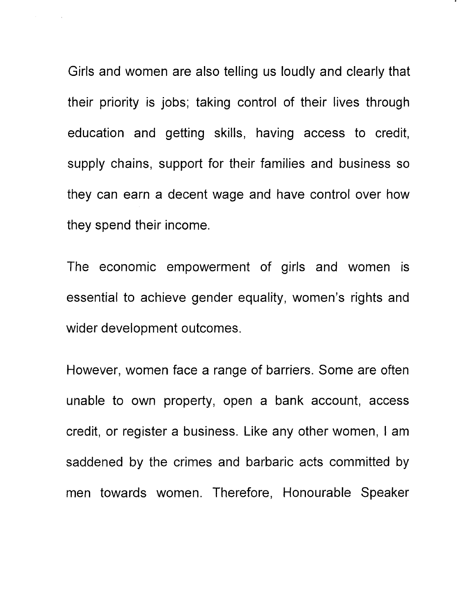Girls and women are also telling us loudly and clearly that their priority is jobs; taking control of their lives through education and getting skills, having access to credit, supply chains, support for their families and business so they can earn a decent wage and have control over how they spend their income.

The economic empowerment of girls and women is essential to achieve gender equality, women's rights and wider development outcomes.

However, women face a range of barriers. Some are often unable to own property, open a bank account, access credit, or register a business. Like any other women, I am saddened by the crimes and barbaric acts committed by men towards women. Therefore, Honourable Speaker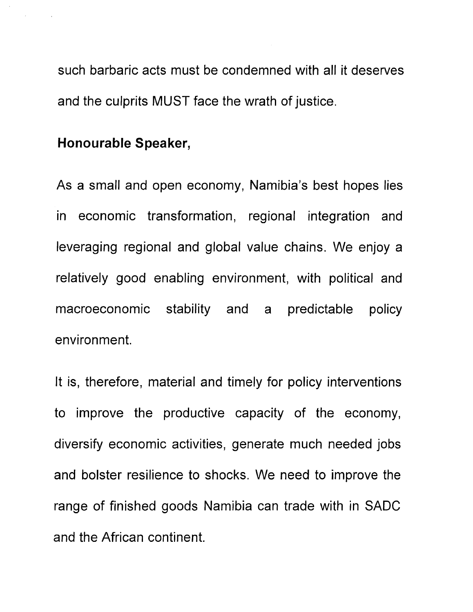such barbaric acts must be condemned with all it deserves and the culprits MUST face the wrath of justice.

### **Honourable Speaker,**

As a small and open economy, Namibia's best hopes lies in economic transformation, regional integration and leveraging regional and global value chains. We enjoy a relatively good enabling environment, with political and macroeconomic stability and a predictable policy environment.

It is, therefore, material and timely for policy interventions to improve the productive capacity of the economy, diversify economic activities, generate much needed jobs and bolster resilience to shocks. We need to improve the range of finished goods Namibia can trade with in SADC and the African continent.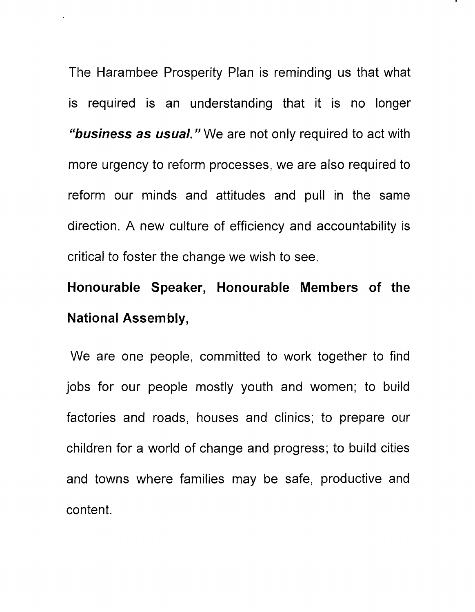The Harambee Prosperity Plan is reminding us that what is required is an understanding that it is no longer *"business* **as** *usual."* We are not only required to act with more urgency to reform processes, we are also required to reform our minds and attitudes and pull in the same direction. A new culture of efficiency and accountability is critical to foster the change we wish to see.

## **Honourable Speaker, Honourable Members of the National Assembly,**

We are one people, committed to work together to find jobs for our people mostly youth and women; to build factories and roads, houses and clinics; to prepare our children for a world of change and progress; to build cities and towns where families may be safe, productive and content.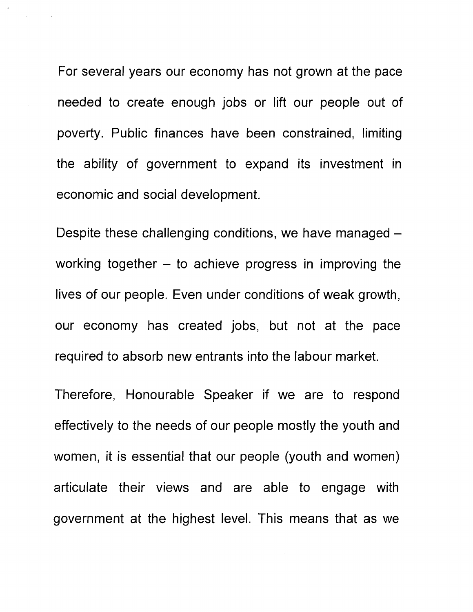For several years our economy has not grown at the pace needed to create enough jobs or lift our people out of poverty. Public finances have been constrained, limiting the ability of government to expand its investment in economic and social development.

Despite these challenging conditions, we have managed working together  $-$  to achieve progress in improving the lives of our people. Even under conditions of weak growth, our economy has created jobs, but not at the pace required to absorb new entrants into the labour market.

Therefore, Honourable Speaker if we are to respond effectively to the needs of our people mostly the youth and women, it is essential that our people (youth and women) articulate their views and are able to engage with government at the highest level. This means that as we